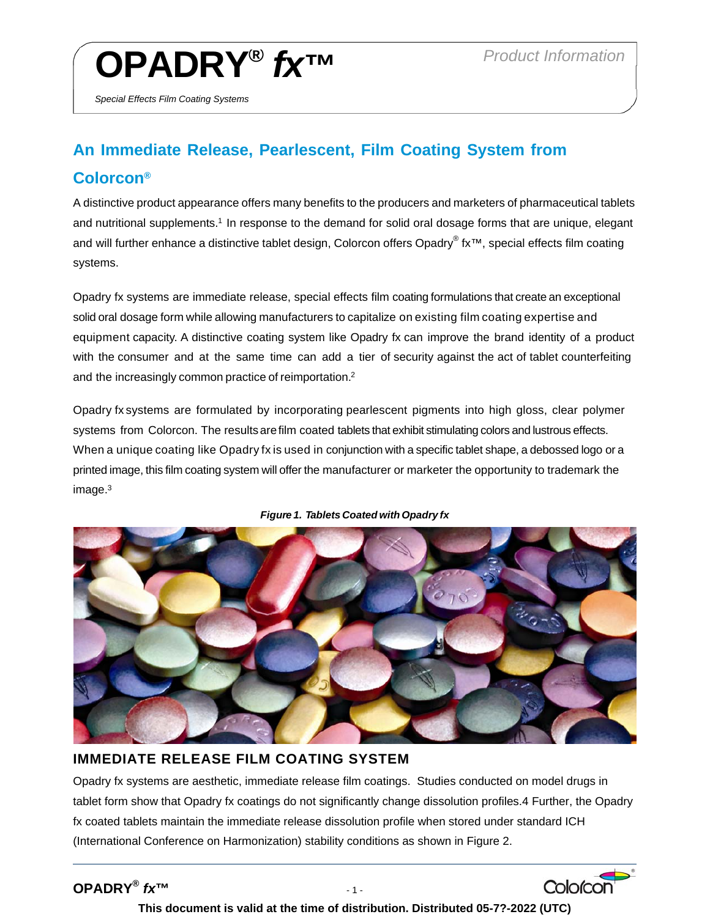Colorcon

# **OPADRY®** *fx™ Product Information*

*Special Effects Film Coating Systems* 

# **An Immediate Release, Pearlescent, Film Coating System from Colorcon®**

A distinctive product appearance offers many benefits to the producers and marketers of pharmaceutical tablets and nutritional supplements.<sup>1</sup> In response to the demand for solid oral dosage forms that are unique, elegant and will further enhance a distinctive tablet design, Colorcon offers Opadry® fx™, special effects film coating systems.

Opadry fx systems are immediate release, special effects film coating formulations that create an exceptional solid oral dosage form while allowing manufacturers to capitalize on existing film coating expertise and equipment capacity. A distinctive coating system like Opadry fx can improve the brand identity of a product with the consumer and at the same time can add a tier of security against the act of tablet counterfeiting and the increasingly common practice of reimportation.2

Opadry fx systems are formulated by incorporating pearlescent pigments into high gloss, clear polymer systems from Colorcon. The results are film coated tablets that exhibit stimulating colors and lustrous effects. When a unique coating like Opadry fx is used in conjunction with a specific tablet shape, a debossed logo or a printed image, this film coating system will offer the manufacturer or marketer the opportunity to trademark the image.3





## **IMMEDIATE RELEASE FILM COATING SYSTEM**

Opadry fx systems are aesthetic, immediate release film coatings. Studies conducted on model drugs in tablet form show that Opadry fx coatings do not significantly change dissolution profiles.4 Further, the Opadry fx coated tablets maintain the immediate release dissolution profile when stored under standard ICH (International Conference on Harmonization) stability conditions as shown in Figure 2.

## **OPADRY®** *fx***™** - 1 -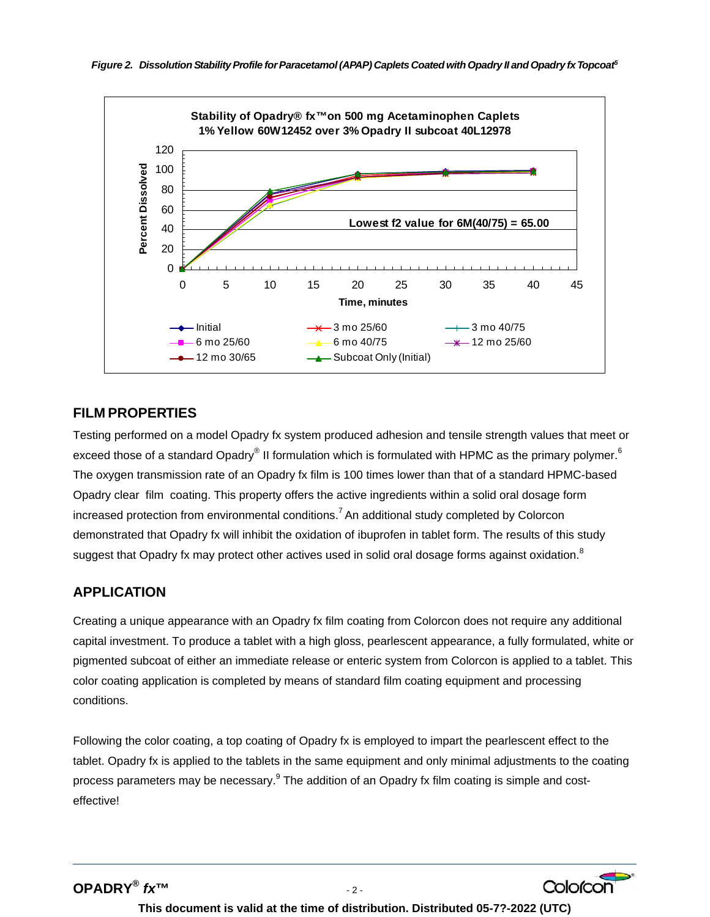

#### **FILM PROPERTIES**

Testing performed on a model Opadry fx system produced adhesion and tensile strength values that meet or exceed those of a standard Opadry® II formulation which is formulated with HPMC as the primary polymer.<sup>6</sup> The oxygen transmission rate of an Opadry fx film is 100 times lower than that of a standard HPMC-based Opadry clear film coating. This property offers the active ingredients within a solid oral dosage form increased protection from environmental conditions.<sup>7</sup> An additional study completed by Colorcon demonstrated that Opadry fx will inhibit the oxidation of ibuprofen in tablet form. The results of this study suggest that Opadry fx may protect other actives used in solid oral dosage forms against oxidation.<sup>8</sup>

### **APPLICATION**

Creating a unique appearance with an Opadry fx film coating from Colorcon does not require any additional capital investment. To produce a tablet with a high gloss, pearlescent appearance, a fully formulated, white or pigmented subcoat of either an immediate release or enteric system from Colorcon is applied to a tablet. This color coating application is completed by means of standard film coating equipment and processing conditions.

Following the color coating, a top coating of Opadry fx is employed to impart the pearlescent effect to the tablet. Opadry fx is applied to the tablets in the same equipment and only minimal adjustments to the coating process parameters may be necessary.<sup>9</sup> The addition of an Opadry fx film coating is simple and costeffective!

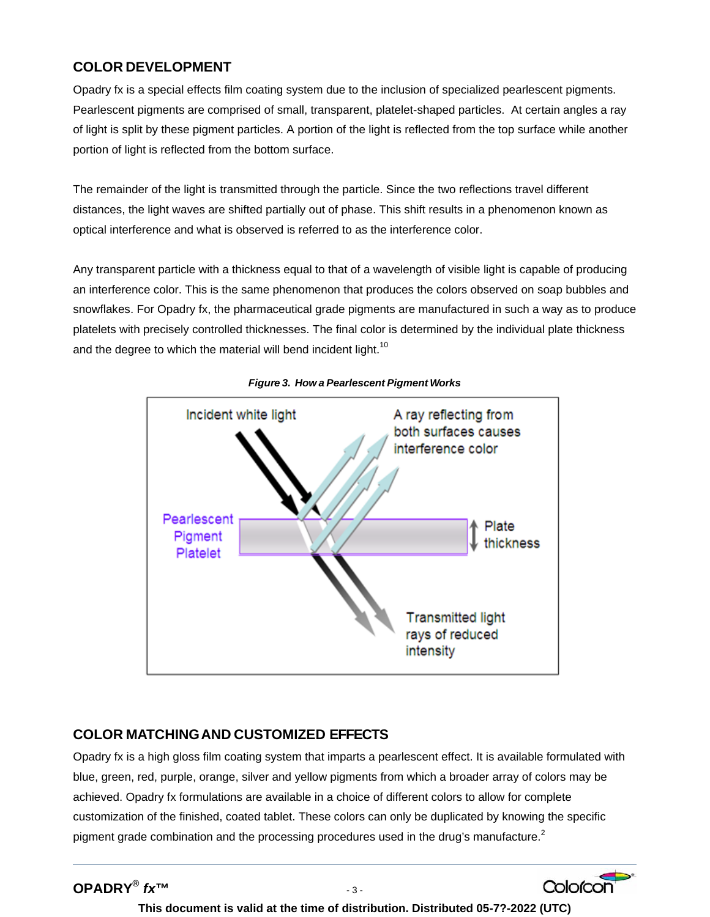#### **COLOR DEVELOPMENT**

Opadry fx is a special effects film coating system due to the inclusion of specialized pearlescent pigments. Pearlescent pigments are comprised of small, transparent, platelet-shaped particles. At certain angles a ray of light is split by these pigment particles. A portion of the light is reflected from the top surface while another portion of light is reflected from the bottom surface.

The remainder of the light is transmitted through the particle. Since the two reflections travel different distances, the light waves are shifted partially out of phase. This shift results in a phenomenon known as optical interference and what is observed is referred to as the interference color.

Any transparent particle with a thickness equal to that of a wavelength of visible light is capable of producing an interference color. This is the same phenomenon that produces the colors observed on soap bubbles and snowflakes. For Opadry fx, the pharmaceutical grade pigments are manufactured in such a way as to produce platelets with precisely controlled thicknesses. The final color is determined by the individual plate thickness and the degree to which the material will bend incident light.<sup>10</sup>



*Figure 3. How a Pearlescent Pigment Works* 

#### **COLOR MATCHING AND CUSTOMIZED EFFECTS**

Opadry fx is a high gloss film coating system that imparts a pearlescent effect. It is available formulated with blue, green, red, purple, orange, silver and yellow pigments from which a broader array of colors may be achieved. Opadry fx formulations are available in a choice of different colors to allow for complete customization of the finished, coated tablet. These colors can only be duplicated by knowing the specific pigment grade combination and the processing procedures used in the drug's manufacture.<sup>2</sup>

**This document is valid at the time of distribution. Distributed 05-7?-2022 (UTC)**

Colorcon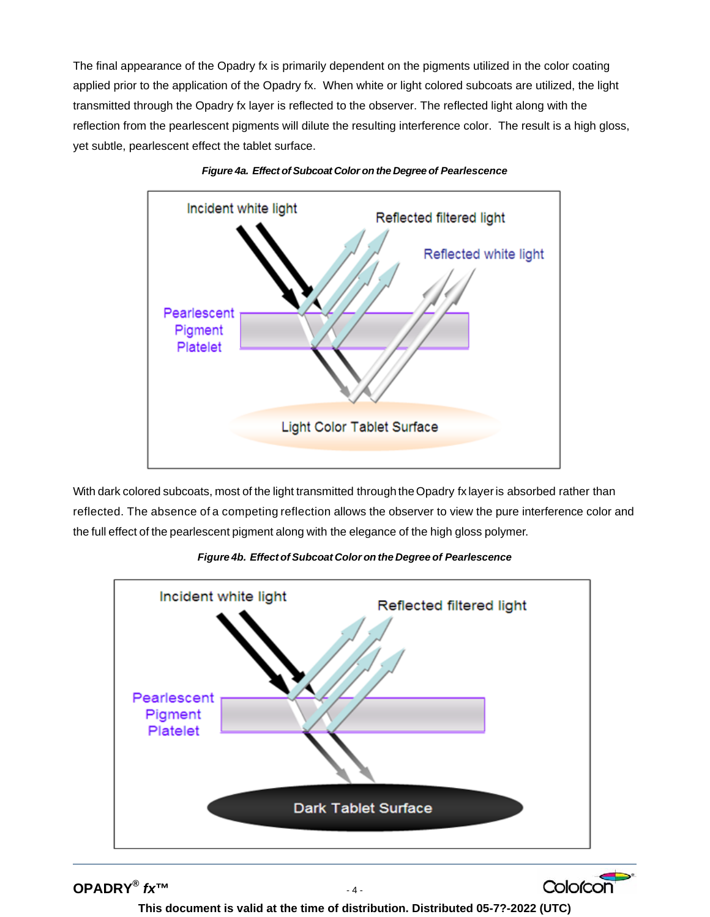The final appearance of the Opadry fx is primarily dependent on the pigments utilized in the color coating applied prior to the application of the Opadry fx. When white or light colored subcoats are utilized, the light transmitted through the Opadry fx layer is reflected to the observer. The reflected light along with the reflection from the pearlescent pigments will dilute the resulting interference color. The result is a high gloss, yet subtle, pearlescent effect the tablet surface.





With dark colored subcoats, most of the light transmitted through the Opadry fx layer is absorbed rather than reflected. The absence of a competing reflection allows the observer to view the pure interference color and the full effect of the pearlescent pigment along with the elegance of the high gloss polymer.



*Figure 4b. Effect of Subcoat Color on the Degree of Pearlescence* 

**OPADRY®** *fx***™** - 4 -

**This document is valid at the time of distribution. Distributed 05-7?-2022 (UTC)**

Colorcon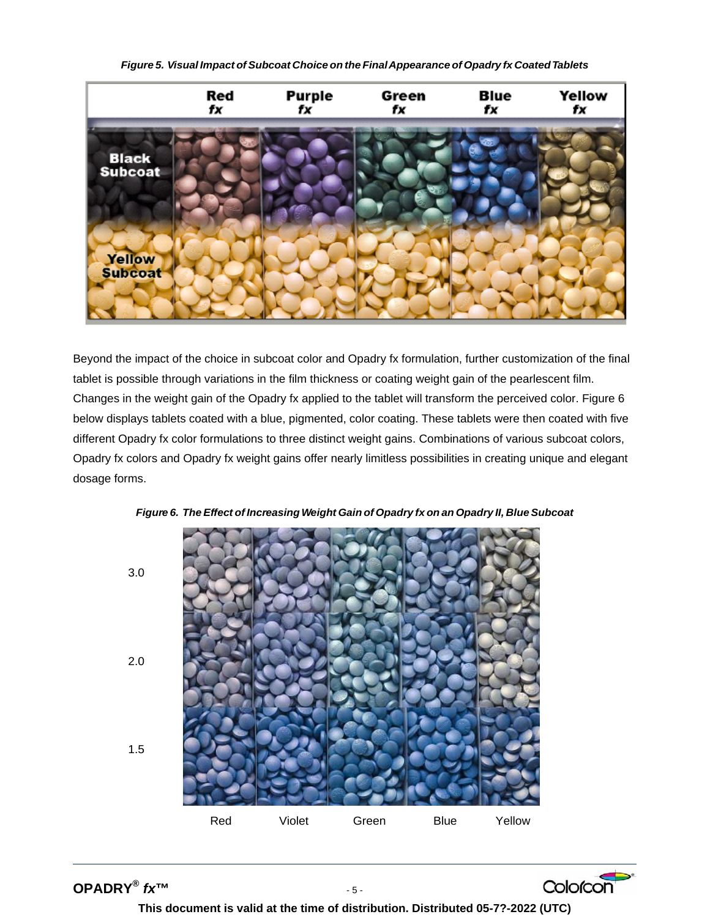*Figure 5. Visual Impact ofSubcoat Choice on the FinalAppearance of Opadry fx CoatedTablets* 



Beyond the impact of the choice in subcoat color and Opadry fx formulation, further customization of the final tablet is possible through variations in the film thickness or coating weight gain of the pearlescent film. Changes in the weight gain of the Opadry fx applied to the tablet will transform the perceived color. Figure 6 below displays tablets coated with a blue, pigmented, color coating. These tablets were then coated with five different Opadry fx color formulations to three distinct weight gains. Combinations of various subcoat colors, Opadry fx colors and Opadry fx weight gains offer nearly limitless possibilities in creating unique and elegant dosage forms.





**OPADRY®** *fx***™** - 5 -



**This document is valid at the time of distribution. Distributed 05-7?-2022 (UTC)**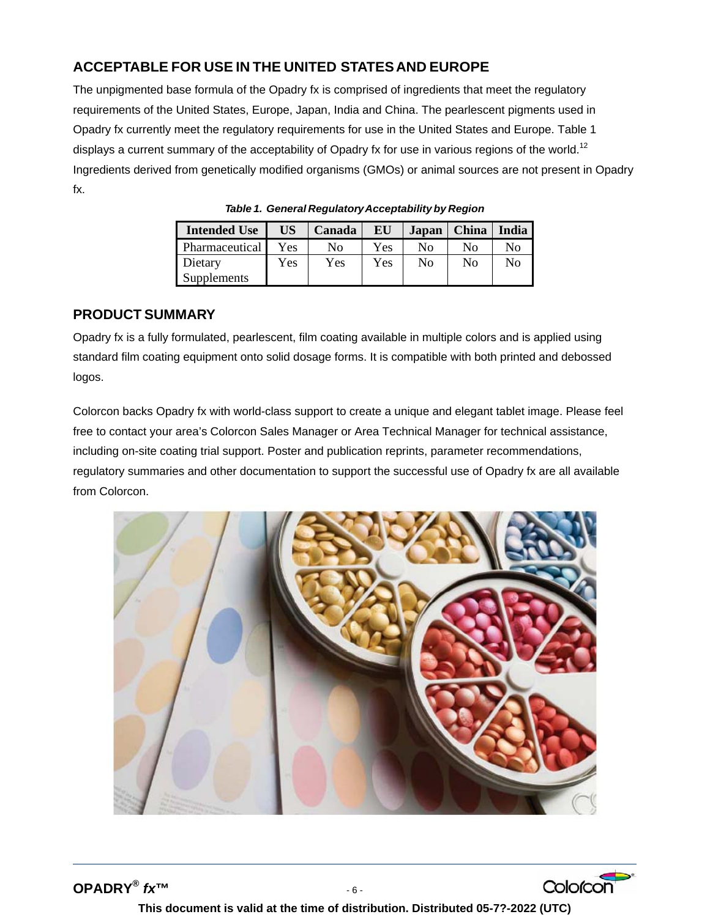### **ACCEPTABLE FOR USE IN THE UNITED STATESAND EUROPE**

The unpigmented base formula of the Opadry fx is comprised of ingredients that meet the regulatory requirements of the United States, Europe, Japan, India and China. The pearlescent pigments used in Opadry fx currently meet the regulatory requirements for use in the United States and Europe. Table 1 displays a current summary of the acceptability of Opadry fx for use in various regions of the world.<sup>12</sup> Ingredients derived from genetically modified organisms (GMOs) or animal sources are not present in Opadry fx.

| <b>Intended Use</b> | <b>US</b>  | Canada | EU  | Japan | <b>China</b>   | India |
|---------------------|------------|--------|-----|-------|----------------|-------|
| Pharmaceutical      | <b>Yes</b> | Nο     | Yes | Nο    | No             | No    |
| Dietary             | Yes        | Yes    | Yes | No    | N <sub>0</sub> | No    |
| Supplements         |            |        |     |       |                |       |

*Table 1. General RegulatoryAcceptability by Region*

#### **PRODUCT SUMMARY**

Opadry fx is a fully formulated, pearlescent, film coating available in multiple colors and is applied using standard film coating equipment onto solid dosage forms. It is compatible with both printed and debossed logos.

Colorcon backs Opadry fx with world-class support to create a unique and elegant tablet image. Please feel free to contact your area's Colorcon Sales Manager or Area Technical Manager for technical assistance, including on-site coating trial support. Poster and publication reprints, parameter recommendations, regulatory summaries and other documentation to support the successful use of Opadry fx are all available from Colorcon.



**OPADRY®** *fx***™** - 6 -